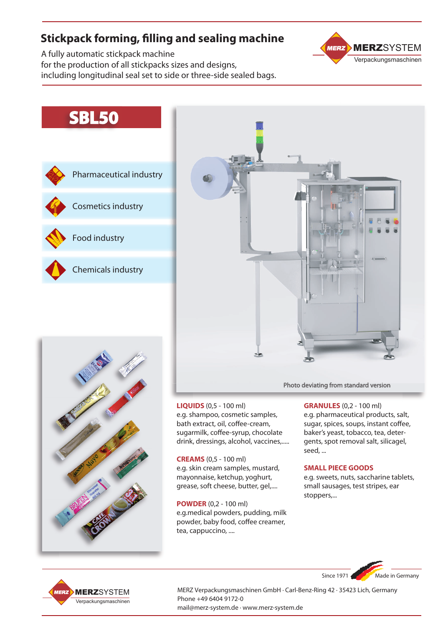# **Stickpack forming, filling and sealing machine**

A fully automatic stickpack machine for the production of all stickpacks sizes and designs, including longitudinal seal set to side or three-side sealed bags.

### **MERZ** MERZSYSTEM Verpackungsmaschinen

# **SBL50**







**LIQUIDS** (0,5 - 100 ml) e.g. shampoo, cosmetic samples, bath extract, oil, coffee-cream, sugarmilk, coffee-syrup, chocolate drink, dressings, alcohol, vaccines,.....

**CREAMS** (0,5 - 100 ml) e.g. skin cream samples, mustard, mayonnaise, ketchup, yoghurt, grease, soft cheese, butter, gel,....

**POWDER** (0,2 - 100 ml) e.g.medical powders, pudding, milk powder, baby food, coffee creamer, tea, cappuccino, ....

Photo deviating from standard version

**GRANULES** (0,2 - 100 ml) e.g. pharmaceutical products, salt, sugar, spices, soups, instant coffee, baker's yeast, tobacco, tea, detergents, spot removal salt, silicagel, seed, ...

#### **SMALL PIECE GOODS**

e.g. sweets, nuts, saccharine tablets, small sausages, test stripes, ear stoppers,...





MERZ Verpackungsmaschinen GmbH · Carl-Benz-Ring 42 · 35423 Lich, Germany Phone +49 6404 9172-0 mail@merz-system.de · www.merz-system.de